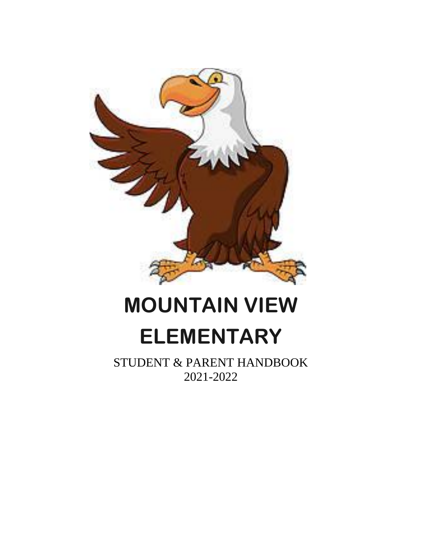

# **MOUNTAIN VIEW ELEMENTARY**

STUDENT & PARENT HANDBOOK 2021-2022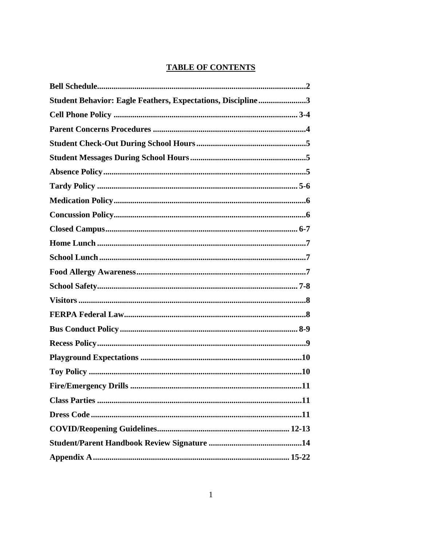#### **TABLE OF CONTENTS**

| Student Behavior: Eagle Feathers, Expectations, Discipline3 |
|-------------------------------------------------------------|
|                                                             |
|                                                             |
|                                                             |
|                                                             |
|                                                             |
|                                                             |
|                                                             |
|                                                             |
|                                                             |
|                                                             |
|                                                             |
|                                                             |
|                                                             |
|                                                             |
|                                                             |
|                                                             |
|                                                             |
|                                                             |
|                                                             |
|                                                             |
|                                                             |
|                                                             |
|                                                             |
|                                                             |
|                                                             |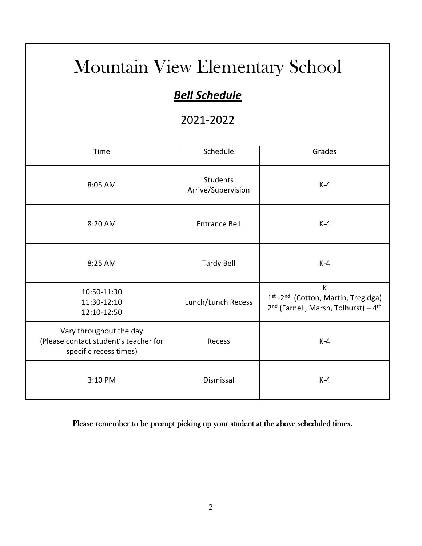## Mountain View Elementary School

## *Bell Schedule*

### 2021-2022

| Time                                                                                       | Schedule                              | Grades                                                                                                   |
|--------------------------------------------------------------------------------------------|---------------------------------------|----------------------------------------------------------------------------------------------------------|
| 8:05 AM                                                                                    | <b>Students</b><br>Arrive/Supervision | $K-4$                                                                                                    |
| 8:20 AM                                                                                    | <b>Entrance Bell</b>                  | $K-4$                                                                                                    |
| 8:25 AM                                                                                    | <b>Tardy Bell</b>                     | $K-4$                                                                                                    |
| 10:50-11:30<br>11:30-12:10<br>12:10-12:50                                                  | Lunch/Lunch Recess                    | K<br>1st -2nd (Cotton, Martin, Tregidga)<br>2 <sup>nd</sup> (Farnell, Marsh, Tolhurst) - 4 <sup>th</sup> |
| Vary throughout the day<br>(Please contact student's teacher for<br>specific recess times) | Recess                                | $K-4$                                                                                                    |
| 3:10 PM                                                                                    | Dismissal                             | $K-4$                                                                                                    |

#### Please remember to be prompt picking up your student at the above scheduled times.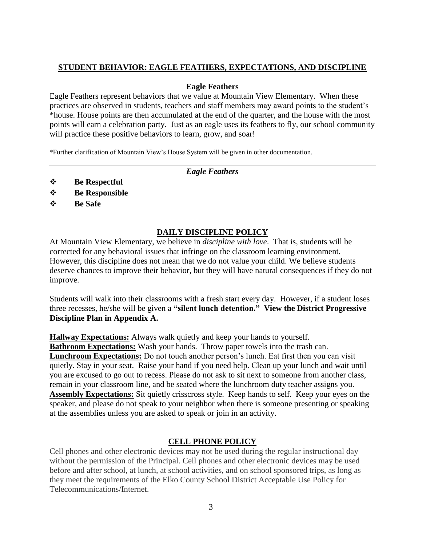#### **STUDENT BEHAVIOR: EAGLE FEATHERS, EXPECTATIONS, AND DISCIPLINE**

#### **Eagle Feathers**

Eagle Feathers represent behaviors that we value at Mountain View Elementary. When these practices are observed in students, teachers and staff members may award points to the student's \*house. House points are then accumulated at the end of the quarter, and the house with the most points will earn a celebration party. Just as an eagle uses its feathers to fly, our school community will practice these positive behaviors to learn, grow, and soar!

\*Further clarification of Mountain View's House System will be given in other documentation.

|           |                       | <b>Eagle Feathers</b> |  |
|-----------|-----------------------|-----------------------|--|
| $\cdot$   | <b>Be Respectful</b>  |                       |  |
| $\bullet$ | <b>Be Responsible</b> |                       |  |
| $\cdot$   | <b>Be Safe</b>        |                       |  |

#### **DAILY DISCIPLINE POLICY**

At Mountain View Elementary, we believe in *discipline with love*. That is, students will be corrected for any behavioral issues that infringe on the classroom learning environment. However, this discipline does not mean that we do not value your child. We believe students deserve chances to improve their behavior, but they will have natural consequences if they do not improve.

Students will walk into their classrooms with a fresh start every day. However, if a student loses three recesses, he/she will be given a **"silent lunch detention." View the District Progressive Discipline Plan in Appendix A.**

**Hallway Expectations:** Always walk quietly and keep your hands to yourself. **Bathroom Expectations:** Wash your hands. Throw paper towels into the trash can. **Lunchroom Expectations:** Do not touch another person's lunch. Eat first then you can visit quietly. Stay in your seat. Raise your hand if you need help. Clean up your lunch and wait until you are excused to go out to recess. Please do not ask to sit next to someone from another class, remain in your classroom line, and be seated where the lunchroom duty teacher assigns you. **Assembly Expectations:** Sit quietly crisscross style. Keep hands to self. Keep your eyes on the speaker, and please do not speak to your neighbor when there is someone presenting or speaking at the assemblies unless you are asked to speak or join in an activity.

#### **CELL PHONE POLICY**

Cell phones and other electronic devices may not be used during the regular instructional day without the permission of the Principal. Cell phones and other electronic devices may be used before and after school, at lunch, at school activities, and on school sponsored trips, as long as they meet the requirements of the Elko County School District Acceptable Use Policy for Telecommunications/Internet.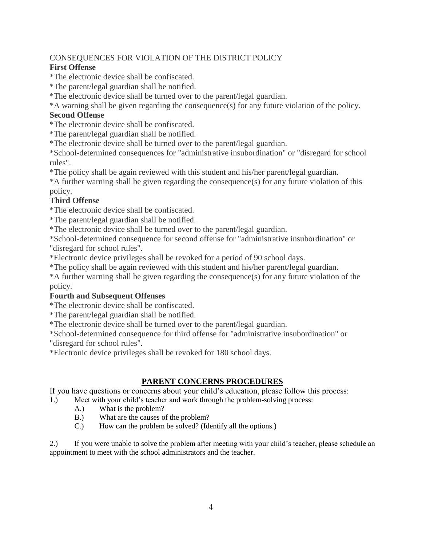#### CONSEQUENCES FOR VIOLATION OF THE DISTRICT POLICY

#### **First Offense**

\*The electronic device shall be confiscated.

\*The parent/legal guardian shall be notified.

\*The electronic device shall be turned over to the parent/legal guardian.

\*A warning shall be given regarding the consequence(s) for any future violation of the policy.

#### **Second Offense**

\*The electronic device shall be confiscated.

\*The parent/legal guardian shall be notified.

\*The electronic device shall be turned over to the parent/legal guardian.

\*School-determined consequences for "administrative insubordination" or "disregard for school rules".

\*The policy shall be again reviewed with this student and his/her parent/legal guardian.

\*A further warning shall be given regarding the consequence(s) for any future violation of this policy.

#### **Third Offense**

\*The electronic device shall be confiscated.

\*The parent/legal guardian shall be notified.

\*The electronic device shall be turned over to the parent/legal guardian.

\*School-determined consequence for second offense for "administrative insubordination" or "disregard for school rules".

\*Electronic device privileges shall be revoked for a period of 90 school days.

\*The policy shall be again reviewed with this student and his/her parent/legal guardian.

\*A further warning shall be given regarding the consequence(s) for any future violation of the policy.

#### **Fourth and Subsequent Offenses**

\*The electronic device shall be confiscated.

\*The parent/legal guardian shall be notified.

\*The electronic device shall be turned over to the parent/legal guardian.

\*School-determined consequence for third offense for "administrative insubordination" or "disregard for school rules".

\*Electronic device privileges shall be revoked for 180 school days.

#### **PARENT CONCERNS PROCEDURES**

If you have questions or concerns about your child's education, please follow this process:

1.) Meet with your child's teacher and work through the problem-solving process:

- A.) What is the problem?
- B.) What are the causes of the problem?
- C.) How can the problem be solved? (Identify all the options.)

2.) If you were unable to solve the problem after meeting with your child's teacher, please schedule an appointment to meet with the school administrators and the teacher.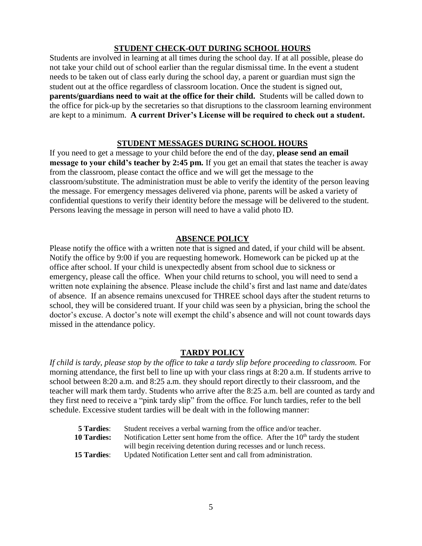#### **STUDENT CHECK-OUT DURING SCHOOL HOURS**

Students are involved in learning at all times during the school day. If at all possible, please do not take your child out of school earlier than the regular dismissal time. In the event a student needs to be taken out of class early during the school day, a parent or guardian must sign the student out at the office regardless of classroom location. Once the student is signed out, **parents/guardians need to wait at the office for their child.** Students will be called down to the office for pick-up by the secretaries so that disruptions to the classroom learning environment are kept to a minimum. **A current Driver's License will be required to check out a student.** 

#### **STUDENT MESSAGES DURING SCHOOL HOURS**

If you need to get a message to your child before the end of the day, **please send an email message to your child's teacher by 2:45 pm.** If you get an email that states the teacher is away from the classroom, please contact the office and we will get the message to the classroom/substitute. The administration must be able to verify the identity of the person leaving the message. For emergency messages delivered via phone, parents will be asked a variety of confidential questions to verify their identity before the message will be delivered to the student. Persons leaving the message in person will need to have a valid photo ID.

#### **ABSENCE POLICY**

Please notify the office with a written note that is signed and dated, if your child will be absent. Notify the office by 9:00 if you are requesting homework. Homework can be picked up at the office after school. If your child is unexpectedly absent from school due to sickness or emergency, please call the office. When your child returns to school, you will need to send a written note explaining the absence. Please include the child's first and last name and date/dates of absence. If an absence remains unexcused for THREE school days after the student returns to school, they will be considered truant. If your child was seen by a physician, bring the school the doctor's excuse. A doctor's note will exempt the child's absence and will not count towards days missed in the attendance policy*.* 

#### **TARDY POLICY**

*If child is tardy, please stop by the office to take a tardy slip before proceeding to classroom.* For morning attendance, the first bell to line up with your class rings at 8:20 a.m. If students arrive to school between 8:20 a.m. and 8:25 a.m. they should report directly to their classroom, and the teacher will mark them tardy. Students who arrive after the 8:25 a.m. bell are counted as tardy and they first need to receive a "pink tardy slip" from the office. For lunch tardies, refer to the bell schedule. Excessive student tardies will be dealt with in the following manner:

| <b>5 Tardies:</b>  | Student receives a verbal warning from the office and/or teacher.                           |
|--------------------|---------------------------------------------------------------------------------------------|
| <b>10 Tardies:</b> | Notification Letter sent home from the office. After the 10 <sup>th</sup> tardy the student |
|                    | will begin receiving detention during recesses and or lunch recess.                         |
| <b>15 Tardies:</b> | Updated Notification Letter sent and call from administration.                              |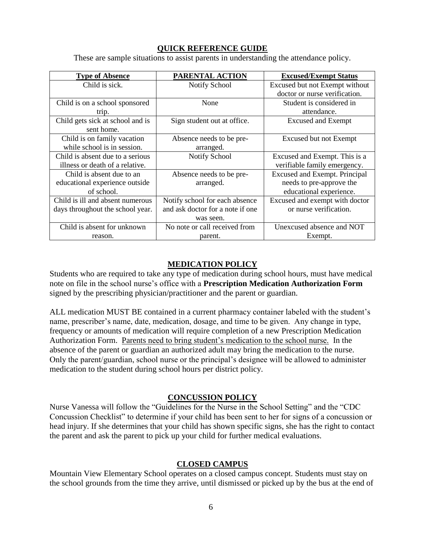#### **QUICK REFERENCE GUIDE**

These are sample situations to assist parents in understanding the attendance policy.

| <b>Type of Absence</b>           | PARENTAL ACTION                  | <b>Excused/Exempt Status</b>   |
|----------------------------------|----------------------------------|--------------------------------|
| Child is sick.                   | Notify School                    | Excused but not Exempt without |
|                                  |                                  | doctor or nurse verification.  |
| Child is on a school sponsored   | None                             | Student is considered in       |
| trip.                            |                                  | attendance.                    |
| Child gets sick at school and is | Sign student out at office.      | <b>Excused and Exempt</b>      |
| sent home.                       |                                  |                                |
| Child is on family vacation      | Absence needs to be pre-         | Excused but not Exempt         |
| while school is in session.      | arranged.                        |                                |
| Child is absent due to a serious | <b>Notify School</b>             | Excused and Exempt. This is a  |
| illness or death of a relative.  |                                  | verifiable family emergency.   |
| Child is absent due to an        | Absence needs to be pre-         | Excused and Exempt. Principal  |
| educational experience outside   | arranged.                        | needs to pre-approve the       |
| of school.                       |                                  | educational experience.        |
| Child is ill and absent numerous | Notify school for each absence   | Excused and exempt with doctor |
| days throughout the school year. | and ask doctor for a note if one | or nurse verification.         |
|                                  | was seen.                        |                                |
| Child is absent for unknown      | No note or call received from    | Unexcused absence and NOT      |
| reason.                          | parent.                          | Exempt.                        |

#### **MEDICATION POLICY**

Students who are required to take any type of medication during school hours, must have medical note on file in the school nurse's office with a **Prescription Medication Authorization Form** signed by the prescribing physician/practitioner and the parent or guardian.

ALL medication MUST BE contained in a current pharmacy container labeled with the student's name, prescriber's name, date, medication, dosage, and time to be given. Any change in type, frequency or amounts of medication will require completion of a new Prescription Medication Authorization Form. Parents need to bring student's medication to the school nurse. In the absence of the parent or guardian an authorized adult may bring the medication to the nurse. Only the parent/guardian, school nurse or the principal's designee will be allowed to administer medication to the student during school hours per district policy.

#### **CONCUSSION POLICY**

Nurse Vanessa will follow the "Guidelines for the Nurse in the School Setting" and the "CDC Concussion Checklist" to determine if your child has been sent to her for signs of a concussion or head injury. If she determines that your child has shown specific signs, she has the right to contact the parent and ask the parent to pick up your child for further medical evaluations.

#### **CLOSED CAMPUS**

Mountain View Elementary School operates on a closed campus concept. Students must stay on the school grounds from the time they arrive, until dismissed or picked up by the bus at the end of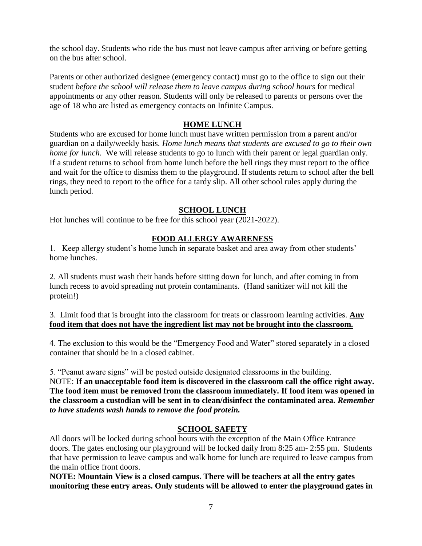the school day. Students who ride the bus must not leave campus after arriving or before getting on the bus after school.

Parents or other authorized designee (emergency contact) must go to the office to sign out their student *before the school will release them to leave campus during school hours* for medical appointments or any other reason. Students will only be released to parents or persons over the age of 18 who are listed as emergency contacts on Infinite Campus.

#### **HOME LUNCH**

Students who are excused for home lunch must have written permission from a parent and/or guardian on a daily/weekly basis. *Home lunch means that students are excused to go to their own home for lunch.* We will release students to go to lunch with their parent or legal guardian only. If a student returns to school from home lunch before the bell rings they must report to the office and wait for the office to dismiss them to the playground. If students return to school after the bell rings, they need to report to the office for a tardy slip. All other school rules apply during the lunch period.

#### **SCHOOL LUNCH**

Hot lunches will continue to be free for this school year (2021-2022).

#### **FOOD ALLERGY AWARENESS**

1. Keep allergy student's home lunch in separate basket and area away from other students' home lunches.

2. All students must wash their hands before sitting down for lunch, and after coming in from lunch recess to avoid spreading nut protein contaminants. (Hand sanitizer will not kill the protein!)

3. Limit food that is brought into the classroom for treats or classroom learning activities. **Any food item that does not have the ingredient list may not be brought into the classroom.**

4. The exclusion to this would be the "Emergency Food and Water" stored separately in a closed container that should be in a closed cabinet.

5. "Peanut aware signs" will be posted outside designated classrooms in the building. NOTE: **If an unacceptable food item is discovered in the classroom call the office right away. The food item must be removed from the classroom immediately. If food item was opened in the classroom a custodian will be sent in to clean/disinfect the contaminated area.** *Remember to have students wash hands to remove the food protein.*

#### **SCHOOL SAFETY**

All doors will be locked during school hours with the exception of the Main Office Entrance doors. The gates enclosing our playground will be locked daily from 8:25 am- 2:55 pm. Students that have permission to leave campus and walk home for lunch are required to leave campus from the main office front doors.

**NOTE: Mountain View is a closed campus. There will be teachers at all the entry gates monitoring these entry areas. Only students will be allowed to enter the playground gates in**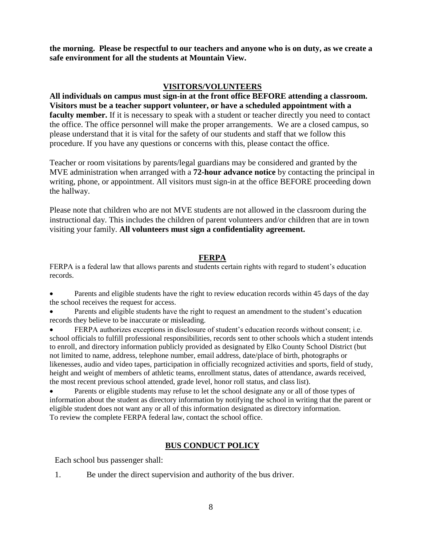**the morning. Please be respectful to our teachers and anyone who is on duty, as we create a safe environment for all the students at Mountain View.** 

#### **VISITORS/VOLUNTEERS**

**All individuals on campus must sign-in at the front office BEFORE attending a classroom. Visitors must be a teacher support volunteer, or have a scheduled appointment with a**  faculty member. If it is necessary to speak with a student or teacher directly you need to contact the office. The office personnel will make the proper arrangements. We are a closed campus, so please understand that it is vital for the safety of our students and staff that we follow this procedure. If you have any questions or concerns with this, please contact the office.

Teacher or room visitations by parents/legal guardians may be considered and granted by the MVE administration when arranged with a **72-hour advance notice** by contacting the principal in writing, phone, or appointment. All visitors must sign-in at the office BEFORE proceeding down the hallway.

Please note that children who are not MVE students are not allowed in the classroom during the instructional day. This includes the children of parent volunteers and/or children that are in town visiting your family. **All volunteers must sign a confidentiality agreement.**

#### **FERPA**

FERPA is a federal law that allows parents and students certain rights with regard to student's education records.

Parents and eligible students have the right to review education records within 45 days of the day the school receives the request for access.

• Parents and eligible students have the right to request an amendment to the student's education records they believe to be inaccurate or misleading.

• FERPA authorizes exceptions in disclosure of student's education records without consent; i.e. school officials to fulfill professional responsibilities, records sent to other schools which a student intends to enroll, and directory information publicly provided as designated by Elko County School District (but not limited to name, address, telephone number, email address, date/place of birth, photographs or likenesses, audio and video tapes, participation in officially recognized activities and sports, field of study, height and weight of members of athletic teams, enrollment status, dates of attendance, awards received, the most recent previous school attended, grade level, honor roll status, and class list).

• Parents or eligible students may refuse to let the school designate any or all of those types of information about the student as directory information by notifying the school in writing that the parent or eligible student does not want any or all of this information designated as directory information. To review the complete FERPA federal law, contact the school office.

#### **BUS CONDUCT POLICY**

Each school bus passenger shall:

1. Be under the direct supervision and authority of the bus driver.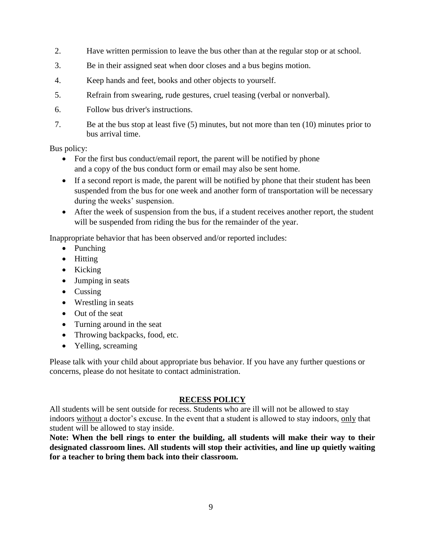- 2. Have written permission to leave the bus other than at the regular stop or at school.
- 3. Be in their assigned seat when door closes and a bus begins motion.
- 4. Keep hands and feet, books and other objects to yourself.
- 5. Refrain from swearing, rude gestures, cruel teasing (verbal or nonverbal).
- 6. Follow bus driver's instructions.
- 7. Be at the bus stop at least five (5) minutes, but not more than ten (10) minutes prior to bus arrival time.

Bus policy:

- For the first bus conduct/email report, the parent will be notified by phone and a copy of the bus conduct form or email may also be sent home.
- If a second report is made, the parent will be notified by phone that their student has been suspended from the bus for one week and another form of transportation will be necessary during the weeks' suspension.
- After the week of suspension from the bus, if a student receives another report, the student will be suspended from riding the bus for the remainder of the year.

Inappropriate behavior that has been observed and/or reported includes:

- Punching
- Hitting
- Kicking
- Jumping in seats
- Cussing
- Wrestling in seats
- Out of the seat
- Turning around in the seat
- Throwing backpacks, food, etc.
- Yelling, screaming

Please talk with your child about appropriate bus behavior. If you have any further questions or concerns, please do not hesitate to contact administration.

#### **RECESS POLICY**

All students will be sent outside for recess. Students who are ill will not be allowed to stay indoors without a doctor's excuse. In the event that a student is allowed to stay indoors, only that student will be allowed to stay inside.

**Note: When the bell rings to enter the building, all students will make their way to their designated classroom lines. All students will stop their activities, and line up quietly waiting for a teacher to bring them back into their classroom.**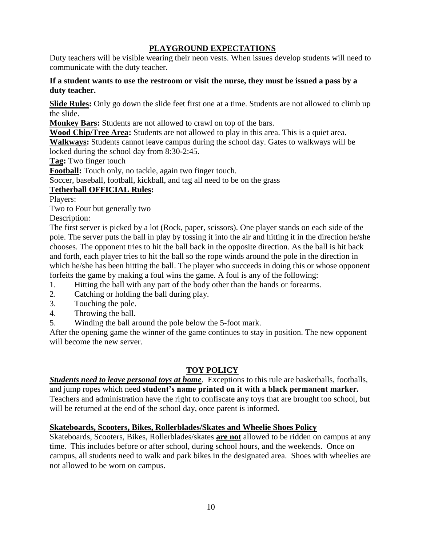#### **PLAYGROUND EXPECTATIONS**

Duty teachers will be visible wearing their neon vests. When issues develop students will need to communicate with the duty teacher.

#### **If a student wants to use the restroom or visit the nurse, they must be issued a pass by a duty teacher.**

**Slide Rules:** Only go down the slide feet first one at a time. Students are not allowed to climb up the slide.

**Monkey Bars:** Students are not allowed to crawl on top of the bars.

**Wood Chip/Tree Area:** Students are not allowed to play in this area. This is a quiet area.

**Walkways:** Students cannot leave campus during the school day. Gates to walkways will be locked during the school day from 8:30-2:45.

**Tag:** Two finger touch

**Football:** Touch only, no tackle, again two finger touch.

Soccer, baseball, football, kickball, and tag all need to be on the grass

#### **Tetherball OFFICIAL Rules:**

Players:

Two to Four but generally two

Description:

The first server is picked by a lot (Rock, paper, scissors). One player stands on each side of the pole. The server puts the ball in play by tossing it into the air and hitting it in the direction he/she chooses. The opponent tries to hit the ball back in the opposite direction. As the ball is hit back and forth, each player tries to hit the ball so the rope winds around the pole in the direction in which he/she has been hitting the ball. The player who succeeds in doing this or whose opponent forfeits the game by making a foul wins the game. A foul is any of the following:

- 1. Hitting the ball with any part of the body other than the hands or forearms.
- 2. Catching or holding the ball during play.
- 3. Touching the pole.
- 4. Throwing the ball.
- 5. Winding the ball around the pole below the 5-foot mark.

After the opening game the winner of the game continues to stay in position. The new opponent will become the new server.

#### **TOY POLICY**

*Students need to leave personal toys at home*. Exceptions to this rule are basketballs, footballs, and jump ropes which need **student's name printed on it with a black permanent marker.** Teachers and administration have the right to confiscate any toys that are brought too school, but will be returned at the end of the school day, once parent is informed.

#### **Skateboards, Scooters, Bikes, Rollerblades/Skates and Wheelie Shoes Policy**

Skateboards, Scooters, Bikes, Rollerblades/skates **are not** allowed to be ridden on campus at any time. This includes before or after school, during school hours, and the weekends. Once on campus, all students need to walk and park bikes in the designated area. Shoes with wheelies are not allowed to be worn on campus.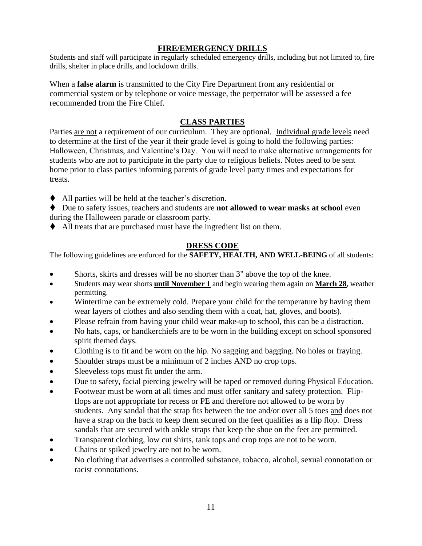#### **FIRE/EMERGENCY DRILLS**

Students and staff will participate in regularly scheduled emergency drills, including but not limited to, fire drills, shelter in place drills, and lockdown drills.

When a **false alarm** is transmitted to the City Fire Department from any residential or commercial system or by telephone or voice message, the perpetrator will be assessed a fee recommended from the Fire Chief.

#### **CLASS PARTIES**

Parties are not a requirement of our curriculum. They are optional. Individual grade levels need to determine at the first of the year if their grade level is going to hold the following parties: Halloween, Christmas, and Valentine's Day. You will need to make alternative arrangements for students who are not to participate in the party due to religious beliefs. Notes need to be sent home prior to class parties informing parents of grade level party times and expectations for treats.

- ◆ All parties will be held at the teacher's discretion.
- ◆ Due to safety issues, teachers and students are **not allowed to wear masks at school** even during the Halloween parade or classroom party.
- ⧫ All treats that are purchased must have the ingredient list on them.

#### **DRESS CODE**

The following guidelines are enforced for the **SAFETY, HEALTH, AND WELL-BEING** of all students:

- Shorts, skirts and dresses will be no shorter than 3" above the top of the knee.
- Students may wear shorts **until November 1** and begin wearing them again on **March 28**, weather permitting.
- Wintertime can be extremely cold. Prepare your child for the temperature by having them wear layers of clothes and also sending them with a coat, hat, gloves, and boots).
- Please refrain from having your child wear make-up to school, this can be a distraction.
- No hats, caps, or handkerchiefs are to be worn in the building except on school sponsored spirit themed days.
- Clothing is to fit and be worn on the hip. No sagging and bagging. No holes or fraying.
- Shoulder straps must be a minimum of 2 inches AND no crop tops.
- Sleeveless tops must fit under the arm.
- Due to safety, facial piercing jewelry will be taped or removed during Physical Education.
- Footwear must be worn at all times and must offer sanitary and safety protection. Flipflops are not appropriate for recess or PE and therefore not allowed to be worn by students. Any sandal that the strap fits between the toe and/or over all 5 toes and does not have a strap on the back to keep them secured on the feet qualifies as a flip flop. Dress sandals that are secured with ankle straps that keep the shoe on the feet are permitted.
- Transparent clothing, low cut shirts, tank tops and crop tops are not to be worn.
- Chains or spiked jewelry are not to be worn.
- No clothing that advertises a controlled substance, tobacco, alcohol, sexual connotation or racist connotations.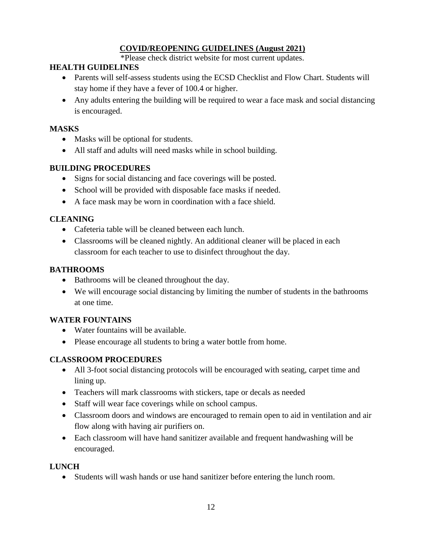#### **COVID/REOPENING GUIDELINES (August 2021)**

\*Please check district website for most current updates.

#### **HEALTH GUIDELINES**

- Parents will self-assess students using the ECSD Checklist and Flow Chart. Students will stay home if they have a fever of 100.4 or higher.
- Any adults entering the building will be required to wear a face mask and social distancing is encouraged.

#### **MASKS**

- Masks will be optional for students.
- All staff and adults will need masks while in school building.

#### **BUILDING PROCEDURES**

- Signs for social distancing and face coverings will be posted.
- School will be provided with disposable face masks if needed.
- A face mask may be worn in coordination with a face shield.

#### **CLEANING**

- Cafeteria table will be cleaned between each lunch.
- Classrooms will be cleaned nightly. An additional cleaner will be placed in each classroom for each teacher to use to disinfect throughout the day.

#### **BATHROOMS**

- Bathrooms will be cleaned throughout the day.
- We will encourage social distancing by limiting the number of students in the bathrooms at one time.

#### **WATER FOUNTAINS**

- Water fountains will be available.
- Please encourage all students to bring a water bottle from home.

#### **CLASSROOM PROCEDURES**

- All 3-foot social distancing protocols will be encouraged with seating, carpet time and lining up.
- Teachers will mark classrooms with stickers, tape or decals as needed
- Staff will wear face coverings while on school campus.
- Classroom doors and windows are encouraged to remain open to aid in ventilation and air flow along with having air purifiers on.
- Each classroom will have hand sanitizer available and frequent handwashing will be encouraged.

#### **LUNCH**

• Students will wash hands or use hand sanitizer before entering the lunch room.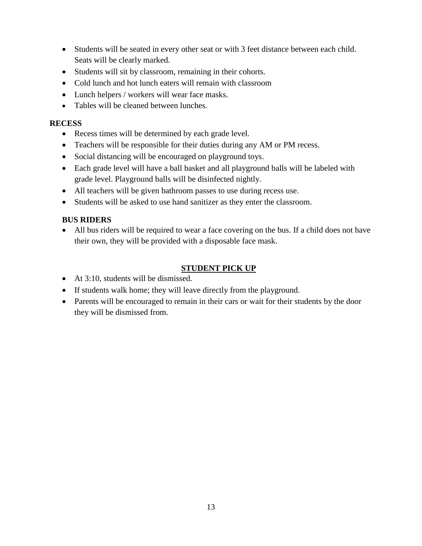- Students will be seated in every other seat or with 3 feet distance between each child. Seats will be clearly marked.
- Students will sit by classroom, remaining in their cohorts.
- Cold lunch and hot lunch eaters will remain with classroom
- Lunch helpers / workers will wear face masks.
- Tables will be cleaned between lunches.

#### **RECESS**

- Recess times will be determined by each grade level.
- Teachers will be responsible for their duties during any AM or PM recess.
- Social distancing will be encouraged on playground toys.
- Each grade level will have a ball basket and all playground balls will be labeled with grade level. Playground balls will be disinfected nightly.
- All teachers will be given bathroom passes to use during recess use.
- Students will be asked to use hand sanitizer as they enter the classroom.

#### **BUS RIDERS**

• All bus riders will be required to wear a face covering on the bus. If a child does not have their own, they will be provided with a disposable face mask.

#### **STUDENT PICK UP**

- At 3:10, students will be dismissed.
- If students walk home; they will leave directly from the playground.
- Parents will be encouraged to remain in their cars or wait for their students by the door they will be dismissed from.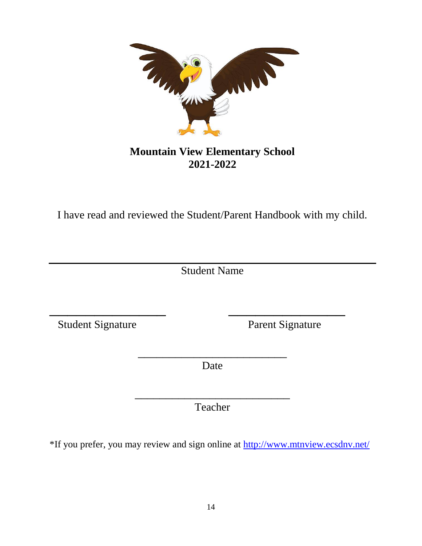

### **Mountain View Elementary School 2021-2022**

I have read and reviewed the Student/Parent Handbook with my child.

Student Name

\_\_\_\_\_\_\_\_\_\_\_\_\_ \_\_\_\_\_\_\_\_\_\_\_\_\_

Student Signature Parent Signature

\_\_\_\_\_\_\_\_\_\_\_\_\_\_\_\_\_\_\_\_\_\_\_\_ Date

\_\_\_\_\_\_\_\_\_\_\_\_\_\_\_\_\_\_\_\_\_\_\_\_\_ Teacher

\*If you prefer, you may review and sign online at<http://www.mtnview.ecsdnv.net/>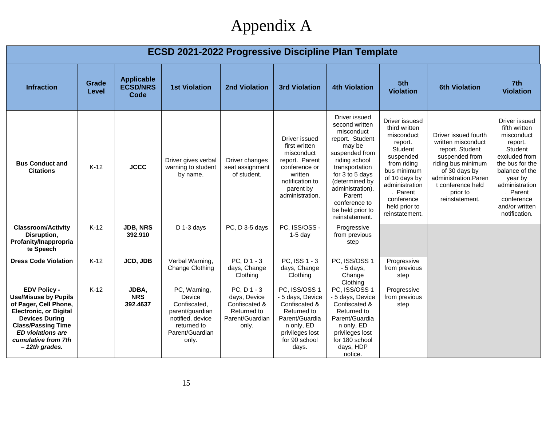## Appendix A

| <b>ECSD 2021-2022 Progressive Discipline Plan Template</b>                                                                                                                                                                              |                       |                                              |                                                                                                                          |                                                                                        |                                                                                                                                                |                                                                                                                                                                                                                                                           |                                                                                                                                                                                                                |                                                                                                                                                                                                   |                                                                                                                                                                                                                    |
|-----------------------------------------------------------------------------------------------------------------------------------------------------------------------------------------------------------------------------------------|-----------------------|----------------------------------------------|--------------------------------------------------------------------------------------------------------------------------|----------------------------------------------------------------------------------------|------------------------------------------------------------------------------------------------------------------------------------------------|-----------------------------------------------------------------------------------------------------------------------------------------------------------------------------------------------------------------------------------------------------------|----------------------------------------------------------------------------------------------------------------------------------------------------------------------------------------------------------------|---------------------------------------------------------------------------------------------------------------------------------------------------------------------------------------------------|--------------------------------------------------------------------------------------------------------------------------------------------------------------------------------------------------------------------|
| <b>Infraction</b>                                                                                                                                                                                                                       | Grade<br><b>Level</b> | <b>Applicable</b><br><b>ECSD/NRS</b><br>Code | <b>1st Violation</b>                                                                                                     | <b>2nd Violation</b>                                                                   | <b>3rd Violation</b>                                                                                                                           | <b>4th Violation</b>                                                                                                                                                                                                                                      | 5th<br><b>Violation</b>                                                                                                                                                                                        | <b>6th Violation</b>                                                                                                                                                                              | 7th<br><b>Violation</b>                                                                                                                                                                                            |
| <b>Bus Conduct and</b><br><b>Citations</b>                                                                                                                                                                                              | $K-12$                | <b>JCCC</b>                                  | Driver gives verbal<br>warning to student<br>by name.                                                                    | Driver changes<br>seat assignment<br>of student.                                       | Driver issued<br>first written<br>misconduct<br>report. Parent<br>conference or<br>written<br>notification to<br>parent by<br>administration.  | Driver issued<br>second written<br>misconduct<br>report. Student<br>may be<br>suspended from<br>riding school<br>transportation<br>for 3 to 5 days<br>(determined by<br>administration).<br>Parent<br>conference to<br>be held prior to<br>reinstatement. | Driver issuesd<br>third written<br>misconduct<br>report.<br>Student<br>suspended<br>from riding<br>bus minimum<br>of 10 days by<br>administration<br>. Parent<br>conference<br>held prior to<br>reinstatement. | Driver issued fourth<br>written misconduct<br>report. Student<br>suspended from<br>riding bus minimum<br>of 30 days by<br>administration.Paren<br>t conference held<br>prior to<br>reinstatement. | Driver issued<br>fifth written<br>misconduct<br>report.<br>Student<br>excluded from<br>the bus for the<br>balance of the<br>year by<br>administration<br>. Parent<br>conference<br>and/or written<br>notification. |
| <b>Classroom/Activity</b><br>Disruption,<br>Profanity/Inappropria<br>te Speech                                                                                                                                                          | $K-12$                | <b>JDB, NRS</b><br>392.910                   | $D$ 1-3 days                                                                                                             | PC, D 3-5 days                                                                         | PC, ISS/OSS -<br>$1-5$ day                                                                                                                     | Progressive<br>from previous<br>step                                                                                                                                                                                                                      |                                                                                                                                                                                                                |                                                                                                                                                                                                   |                                                                                                                                                                                                                    |
| <b>Dress Code Violation</b>                                                                                                                                                                                                             | $K-12$                | <b>JCD, JDB</b>                              | Verbal Warning,<br>Change Clothing                                                                                       | $PC, D1-3$<br>days, Change<br>Clothing                                                 | PC, ISS 1 - 3<br>days, Change<br>Clothing                                                                                                      | PC, ISS/OSS 1<br>$-5$ days,<br>Change<br>Clothing                                                                                                                                                                                                         | Progressive<br>from previous<br>step                                                                                                                                                                           |                                                                                                                                                                                                   |                                                                                                                                                                                                                    |
| <b>EDV Policy -</b><br><b>Use/Misuse by Pupils</b><br>of Pager, Cell Phone,<br><b>Electronic, or Digital</b><br><b>Devices During</b><br><b>Class/Passing Time</b><br><b>ED</b> violations are<br>cumulative from 7th<br>- 12th grades. | $K-12$                | JDBA,<br><b>NRS</b><br>392.4637              | PC, Warning,<br>Device<br>Confiscated.<br>parent/guardian<br>notified, device<br>returned to<br>Parent/Guardian<br>only. | $PC, D1-3$<br>days, Device<br>Confiscated &<br>Returned to<br>Parent/Guardian<br>only. | PC, ISS/OSS 1<br>- 5 days, Device<br>Confiscated &<br>Returned to<br>Parent/Guardia<br>n only, ED<br>privileges lost<br>for 90 school<br>days. | PC, ISS/OSS 1<br>- 5 days, Device<br>Confiscated &<br>Returned to<br>Parent/Guardia<br>n only, ED<br>privileges lost<br>for 180 school<br>days, HDP<br>notice.                                                                                            | Progressive<br>from previous<br>step                                                                                                                                                                           |                                                                                                                                                                                                   |                                                                                                                                                                                                                    |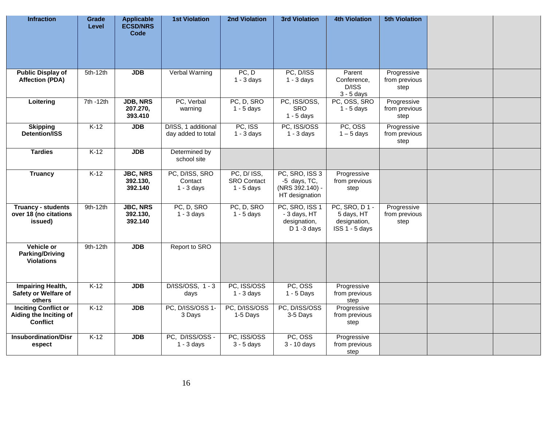| <b>Infraction</b>                                                 | Grade<br>Level | <b>Applicable</b><br><b>ECSD/NRS</b><br><b>Code</b> | <b>1st Violation</b>                      | 2nd Violation                                     | <b>3rd Violation</b>                                                | <b>4th Violation</b>                                          | <b>5th Violation</b>                 |  |
|-------------------------------------------------------------------|----------------|-----------------------------------------------------|-------------------------------------------|---------------------------------------------------|---------------------------------------------------------------------|---------------------------------------------------------------|--------------------------------------|--|
| <b>Public Display of</b><br><b>Affection (PDA)</b>                | $5th-12th$     | <b>JDB</b>                                          | Verbal Warning                            | PC, D<br>$1 - 3$ days                             | PC, D/ISS<br>$1 - 3$ days                                           | Parent<br>Conference,<br>D/ISS<br>$3 - 5$ days                | Progressive<br>from previous<br>step |  |
| Loitering                                                         | 7th -12th      | JDB, NRS<br>207.270,<br>393.410                     | PC, Verbal<br>warning                     | PC, D, SRO<br>$1 - 5$ days                        | PC, ISS/OSS,<br>SRO<br>$1 - 5$ days                                 | PC, OSS, SRO<br>$1 - 5$ days                                  | Progressive<br>from previous<br>step |  |
| <b>Skipping</b><br><b>Detention/ISS</b>                           | $K-12$         | <b>JDB</b>                                          | D/ISS, 1 additional<br>day added to total | PC, ISS<br>$1 - 3$ days                           | PC, ISS/OSS<br>$1 - 3$ days                                         | PC, OSS<br>$1 - 5$ days                                       | Progressive<br>from previous<br>step |  |
| <b>Tardies</b>                                                    | $K-12$         | <b>JDB</b>                                          | Determined by<br>school site              |                                                   |                                                                     |                                                               |                                      |  |
| <b>Truancy</b>                                                    | $K-12$         | <b>JBC, NRS</b><br>392.130.<br>392.140              | PC, D/ISS, SRO<br>Contact<br>$1 - 3$ days | PC, D/ ISS,<br><b>SRO</b> Contact<br>$1 - 5$ days | PC, SRO, ISS 3<br>-5 days, TC,<br>(NRS 392.140) -<br>HT designation | Progressive<br>from previous<br>step                          |                                      |  |
| <b>Truancy - students</b><br>over 18 (no citations<br>issued)     | 9th-12th       | <b>JBC, NRS</b><br>392.130,<br>392.140              | PC, D, SRO<br>$1 - 3$ days                | PC, D, SRO<br>$1 - 5$ days                        | PC, SRO, ISS 1<br>- 3 days, HT<br>designation,<br>$D$ 1 -3 days     | PC, SRO, D1 -<br>5 days, HT<br>designation,<br>ISS 1 - 5 days | Progressive<br>from previous<br>step |  |
| Vehicle or<br><b>Parking/Driving</b><br><b>Violations</b>         | 9th-12th       | <b>JDB</b>                                          | Report to SRO                             |                                                   |                                                                     |                                                               |                                      |  |
| <b>Impairing Health,</b><br>Safety or Welfare of<br>others        | $K-12$         | <b>JDB</b>                                          | D/ISS/OSS, 1 - 3<br>days                  | PC, ISS/OSS<br>$1 - 3$ days                       | PC, OSS<br>$1 - 5$ Days                                             | Progressive<br>from previous<br>step                          |                                      |  |
| <b>Inciting Conflict or</b><br>Aiding the Inciting of<br>Conflict | $K-12$         | <b>JDB</b>                                          | PC, D/ISS/OSS 1-<br>3 Days                | PC, D/ISS/OSS<br>1-5 Days                         | PC, D/ISS/OSS<br>3-5 Days                                           | Progressive<br>from previous<br>step                          |                                      |  |
| <b>Insubordination/Disr</b><br>espect                             | $K-12$         | <b>JDB</b>                                          | PC, D/ISS/OSS -<br>$1 - 3$ days           | PC, ISS/OSS<br>$3 - 5$ days                       | PC, OSS<br>3 - 10 days                                              | Progressive<br>from previous<br>step                          |                                      |  |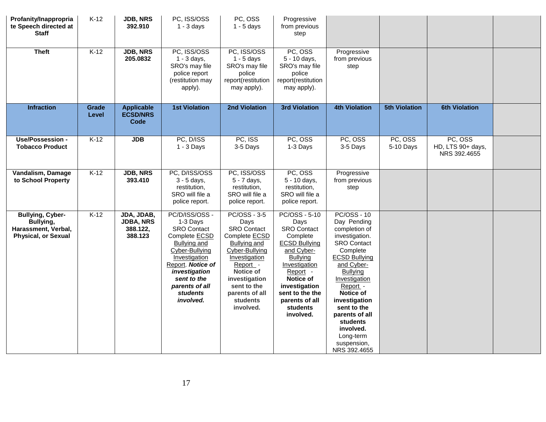| Profanity/Inappropria<br>te Speech directed at<br><b>Staff</b>                            | $K-12$         | <b>JDB, NRS</b><br>392.910                            | PC, ISS/OSS<br>$1 - 3$ days                                                                                                                                                                                                        | PC, OSS<br>$1 - 5$ days                                                                                                                                                                                                                 | Progressive<br>from previous<br>step                                                                                                                                                                                               |                                                                                                                                                                                                                                                                                                                                  |                      |                                              |  |
|-------------------------------------------------------------------------------------------|----------------|-------------------------------------------------------|------------------------------------------------------------------------------------------------------------------------------------------------------------------------------------------------------------------------------------|-----------------------------------------------------------------------------------------------------------------------------------------------------------------------------------------------------------------------------------------|------------------------------------------------------------------------------------------------------------------------------------------------------------------------------------------------------------------------------------|----------------------------------------------------------------------------------------------------------------------------------------------------------------------------------------------------------------------------------------------------------------------------------------------------------------------------------|----------------------|----------------------------------------------|--|
| <b>Theft</b>                                                                              | $K-12$         | <b>JDB, NRS</b><br>205.0832                           | PC, ISS/OSS<br>$1 - 3$ days,<br>SRO's may file<br>police report<br>(restitution may<br>apply).                                                                                                                                     | PC, ISS/OSS<br>$1 - 5$ days<br>SRO's may file<br>police<br>report(restitution<br>may apply).                                                                                                                                            | PC, OSS<br>5 - 10 days,<br>SRO's may file<br>police<br>report(restitution<br>may apply).                                                                                                                                           | Progressive<br>from previous<br>step                                                                                                                                                                                                                                                                                             |                      |                                              |  |
| <b>Infraction</b>                                                                         | Grade<br>Level | <b>Applicable</b><br><b>ECSD/NRS</b><br><b>Code</b>   | <b>1st Violation</b>                                                                                                                                                                                                               | 2nd Violation                                                                                                                                                                                                                           | <b>3rd Violation</b>                                                                                                                                                                                                               | <b>4th Violation</b>                                                                                                                                                                                                                                                                                                             | <b>5th Violation</b> | <b>6th Violation</b>                         |  |
| Use/Possession -<br><b>Tobacco Product</b>                                                | $K-12$         | <b>JDB</b>                                            | PC, D/ISS<br>$1 - 3$ Days                                                                                                                                                                                                          | PC, ISS<br>3-5 Days                                                                                                                                                                                                                     | PC, OSS<br>1-3 Days                                                                                                                                                                                                                | PC, OSS<br>3-5 Days                                                                                                                                                                                                                                                                                                              | PC, OSS<br>5-10 Days | PC, OSS<br>HD, LTS 90+ days,<br>NRS 392.4655 |  |
| Vandalism, Damage<br>to School Property                                                   | $K-12$         | <b>JDB, NRS</b><br>393.410                            | PC, D/ISS/OSS<br>3 - 5 days,<br>restitution,<br>SRO will file a<br>police report.                                                                                                                                                  | PC, ISS/OSS<br>5 - 7 days,<br>restitution,<br>SRO will file a<br>police report.                                                                                                                                                         | PC, OSS<br>5 - 10 days,<br>restitution,<br>SRO will file a<br>police report.                                                                                                                                                       | Progressive<br>from previous<br>step                                                                                                                                                                                                                                                                                             |                      |                                              |  |
| <b>Bullying, Cyber-</b><br>Bullying,<br>Harassment, Verbal,<br><b>Physical, or Sexual</b> | $K-12$         | JDA, JDAB,<br><b>JDBA, NRS</b><br>388.122,<br>388.123 | PC/D/ISS/OSS -<br>1-3 Days<br><b>SRO Contact</b><br>Complete <b>ECSD</b><br><b>Bullying and</b><br>Cyber-Bullying<br>Investigation<br>Report. Notice of<br>investigation<br>sent to the<br>parents of all<br>students<br>involved. | <b>PC/OSS - 3-5</b><br>Days<br><b>SRO Contact</b><br>Complete <b>ECSD</b><br><b>Bullying and</b><br>Cyber-Bullying<br>Investigation<br>Report -<br>Notice of<br>investigation<br>sent to the<br>parents of all<br>students<br>involved. | PC/OSS - 5-10<br>Days<br><b>SRO Contact</b><br>Complete<br><b>ECSD Bullying</b><br>and Cyber-<br>Bullying<br>Investigation<br>Report -<br>Notice of<br>investigation<br>sent to the the<br>parents of all<br>students<br>involved. | <b>PC/OSS - 10</b><br>Day Pending<br>completion of<br>investigation.<br><b>SRO Contact</b><br>Complete<br><b>ECSD Bullying</b><br>and Cyber-<br><b>Bullying</b><br>Investigation<br>Report -<br>Notice of<br>investigation<br>sent to the<br>parents of all<br>students<br>involved.<br>Long-term<br>suspension,<br>NRS 392.4655 |                      |                                              |  |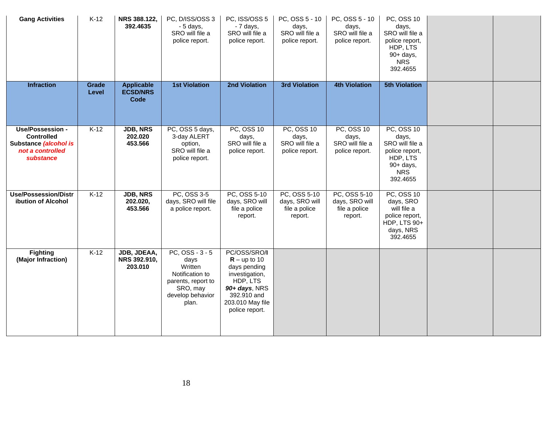| <b>Gang Activities</b>                                                                          | $K-12$         | NRS 388.122,<br>392.4635                     | PC, D/ISS/OSS 3<br>- 5 days,<br>SRO will file a<br>police report.                                                      | PC, ISS/OSS 5<br>- 7 days,<br>SRO will file a<br>police report.                                                                                    | PC, OSS 5 - 10<br>days,<br>SRO will file a<br>police report. | PC, OSS 5 - 10<br>days,<br>SRO will file a<br>police report.    | PC, OSS 10<br>days,<br>SRO will file a<br>police report,<br>HDP, LTS<br>$90+$ days,<br><b>NRS</b><br>392.4655      |  |
|-------------------------------------------------------------------------------------------------|----------------|----------------------------------------------|------------------------------------------------------------------------------------------------------------------------|----------------------------------------------------------------------------------------------------------------------------------------------------|--------------------------------------------------------------|-----------------------------------------------------------------|--------------------------------------------------------------------------------------------------------------------|--|
| <b>Infraction</b>                                                                               | Grade<br>Level | <b>Applicable</b><br><b>ECSD/NRS</b><br>Code | <b>1st Violation</b>                                                                                                   | <b>2nd Violation</b>                                                                                                                               | <b>3rd Violation</b>                                         | <b>4th Violation</b>                                            | <b>5th Violation</b>                                                                                               |  |
| Use/Possession -<br><b>Controlled</b><br>Substance (alcohol is<br>not a controlled<br>substance | $K-12$         | <b>JDB, NRS</b><br>202.020<br>453.566        | PC, OSS 5 days,<br>3-day ALERT<br>option,<br>SRO will file a<br>police report.                                         | <b>PC, OSS 10</b><br>days,<br>SRO will file a<br>police report.                                                                                    | PC, OSS 10<br>days,<br>SRO will file a<br>police report.     | <b>PC, OSS 10</b><br>days,<br>SRO will file a<br>police report. | <b>PC, OSS 10</b><br>days,<br>SRO will file a<br>police report,<br>HDP, LTS<br>90+ days,<br><b>NRS</b><br>392.4655 |  |
| <b>Use/Possession/Distr</b><br>ibution of Alcohol                                               | $K-12$         | JDB, NRS<br>202.020,<br>453.566              | PC, OSS 3-5<br>days, SRO will file<br>a police report.                                                                 | PC, OSS 5-10<br>days, SRO will<br>file a police<br>report.                                                                                         | PC, OSS 5-10<br>days, SRO will<br>file a police<br>report.   | PC, OSS 5-10<br>days, SRO will<br>file a police<br>report.      | PC, OSS 10<br>days, SRO<br>will file a<br>police report,<br>HDP, LTS 90+<br>days, NRS<br>392.4655                  |  |
| <b>Fighting</b><br>(Major Infraction)                                                           | $K-12$         | JDB, JDEAA,<br>NRS 392.910,<br>203.010       | $PC, OSS - 3 - 5$<br>days<br>Written<br>Notification to<br>parents, report to<br>SRO, may<br>develop behavior<br>plan. | PC/OSS/SRO/I<br>$R - up to 10$<br>days pending<br>investigation,<br>HDP, LTS<br>90+ days, NRS<br>392.910 and<br>203.010 May file<br>police report. |                                                              |                                                                 |                                                                                                                    |  |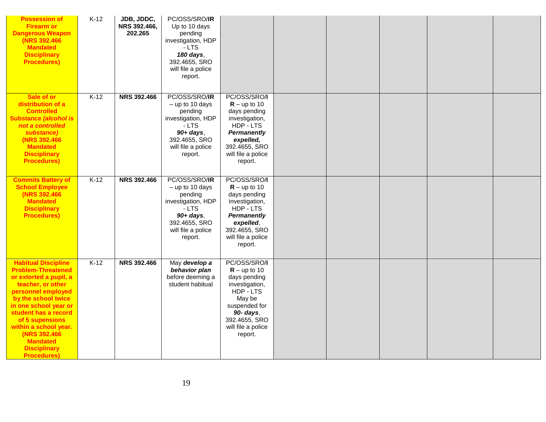| <b>Possession of</b><br><b>Firearm or</b><br><b>Dangerous Weapon</b><br>(NRS 392.466)<br><b>Mandated</b><br><b>Disciplinary</b><br><b>Procedures)</b>                                                                                                                                                                            | $K-12$ | JDB, JDDC,<br>NRS 392.466,<br>202.265 | PC/OSS/SRO/IR<br>Up to 10 days<br>pending<br>investigation, HDP<br>- LTS<br>180 days,<br>392.4655, SRO<br>will file a police<br>report.         |                                                                                                                                                                         |  |  |  |
|----------------------------------------------------------------------------------------------------------------------------------------------------------------------------------------------------------------------------------------------------------------------------------------------------------------------------------|--------|---------------------------------------|-------------------------------------------------------------------------------------------------------------------------------------------------|-------------------------------------------------------------------------------------------------------------------------------------------------------------------------|--|--|--|
| Sale of or<br>distribution of a<br><b>Controlled</b><br><b>Substance (alcohol is</b><br>not a controlled<br>substance)<br>(NRS 392.466<br><b>Mandated</b><br><b>Disciplinary</b><br><b>Procedures)</b>                                                                                                                           | $K-12$ | <b>NRS 392.466</b>                    | PC/OSS/SRO/IR<br>$-$ up to 10 days<br>pending<br>investigation, HDP<br>- LTS<br>$90+ days$ ,<br>392.4655, SRO<br>will file a police<br>report.  | PC/OSS/SRO/I<br>$R - up to 10$<br>days pending<br>investigation,<br>HDP - LTS<br><b>Permanently</b><br>expelled,<br>392.4655, SRO<br>will file a police<br>report.      |  |  |  |
| <b>Commits Battery of</b><br><b>School Employee</b><br>(NRS 392.466)<br><b>Mandated</b><br><b>Disciplinary</b><br><b>Procedures)</b>                                                                                                                                                                                             | $K-12$ | <b>NRS 392.466</b>                    | PC/OSS/SRO/IR<br>$-$ up to 10 days<br>pending<br>investigation, HDP<br>$-LTS$<br>$90+ days$ ,<br>392.4655, SRO<br>will file a police<br>report. | PC/OSS/SRO/I<br>$R - up to 10$<br>days pending<br>investigation,<br>HDP - LTS<br>Permanently<br>expelled,<br>392.4655, SRO<br>will file a police<br>report.             |  |  |  |
| <b>Habitual Discipline</b><br><b>Problem-Threatened</b><br>or extorted a pupil, a<br>teacher, or other<br>personnel employed<br>by the school twice<br>in one school year or<br>student has a record<br>of 5 supensions<br>within a school year.<br>(NRS 392.466<br><b>Mandated</b><br><b>Disciplinary</b><br><b>Procedures)</b> | $K-12$ | <b>NRS 392.466</b>                    | May develop a<br>behavior plan<br>before deeming a<br>student habitual                                                                          | PC/OSS/SRO/I<br>$R - up to 10$<br>days pending<br>investigation,<br>HDP - LTS<br>May be<br>suspended for<br>90- days,<br>392.4655, SRO<br>will file a police<br>report. |  |  |  |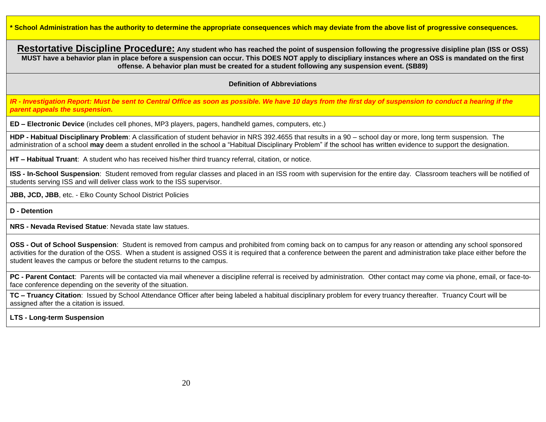**\* School Administration has the authority to determine the appropriate consequences which may deviate from the above list of progressive consequences.** 

**Restortative Discipline Procedure: Any student who has reached the point of suspension following the progressive disipline plan (ISS or OSS) MUST have a behavior plan in place before a suspension can occur. This DOES NOT apply to discipliary instances where an OSS is mandated on the first offense. A behavior plan must be created for a student following any suspension event. (SB89)**

#### **Definition of Abbreviations**

*IR - Investigation Report: Must be sent to Central Office as soon as possible. We have 10 days from the first day of suspension to conduct a hearing if the parent appeals the suspension.* 

**ED – Electronic Device** (includes cell phones, MP3 players, pagers, handheld games, computers, etc.)

**HDP - Habitual Disciplinary Problem**: A classification of student behavior in NRS 392.4655 that results in a 90 – school day or more, long term suspension. The administration of a school **may** deem a student enrolled in the school a "Habitual Disciplinary Problem" if the school has written evidence to support the designation.

**HT – Habitual Truant**: A student who has received his/her third truancy referral, citation, or notice.

**ISS - In-School Suspension**: Student removed from regular classes and placed in an ISS room with supervision for the entire day. Classroom teachers will be notified of students serving ISS and will deliver class work to the ISS supervisor.

**JBB, JCD, JBB**, etc. - Elko County School District Policies

**D - Detention**

**NRS - Nevada Revised Statue**: Nevada state law statues.

**OSS - Out of School Suspension**: Student is removed from campus and prohibited from coming back on to campus for any reason or attending any school sponsored activities for the duration of the OSS. When a student is assigned OSS it is required that a conference between the parent and administration take place either before the student leaves the campus or before the student returns to the campus.

**PC - Parent Contact**: Parents will be contacted via mail whenever a discipline referral is received by administration. Other contact may come via phone, email, or face-toface conference depending on the severity of the situation.

**TC – Truancy Citation**: Issued by School Attendance Officer after being labeled a habitual disciplinary problem for every truancy thereafter. Truancy Court will be assigned after the a citation is issued.

#### **LTS - Long-term Suspension**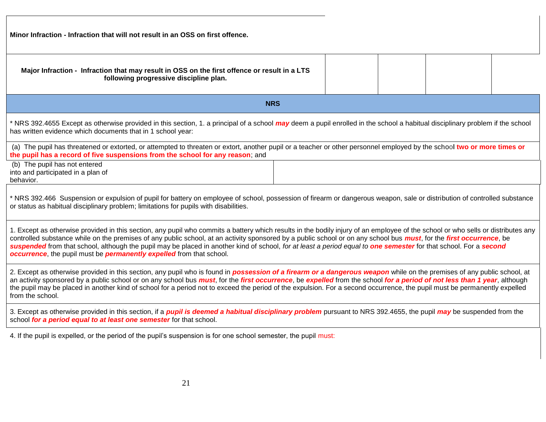| Minor Infraction - Infraction that will not result in an OSS on first offence.                                                                                                                                                                                                                                                                                                                                                                                                                                                                                                                                       |  |  |  |  |  |  |  |  |  |  |
|----------------------------------------------------------------------------------------------------------------------------------------------------------------------------------------------------------------------------------------------------------------------------------------------------------------------------------------------------------------------------------------------------------------------------------------------------------------------------------------------------------------------------------------------------------------------------------------------------------------------|--|--|--|--|--|--|--|--|--|--|
| Major Infraction - Infraction that may result in OSS on the first offence or result in a LTS<br>following progressive discipline plan.                                                                                                                                                                                                                                                                                                                                                                                                                                                                               |  |  |  |  |  |  |  |  |  |  |
| <b>NRS</b>                                                                                                                                                                                                                                                                                                                                                                                                                                                                                                                                                                                                           |  |  |  |  |  |  |  |  |  |  |
| * NRS 392.4655 Except as otherwise provided in this section, 1. a principal of a school may deem a pupil enrolled in the school a habitual disciplinary problem if the school<br>has written evidence which documents that in 1 school year:                                                                                                                                                                                                                                                                                                                                                                         |  |  |  |  |  |  |  |  |  |  |
| (a) The pupil has threatened or extorted, or attempted to threaten or extort, another pupil or a teacher or other personnel employed by the school two or more times or<br>the pupil has a record of five suspensions from the school for any reason; and                                                                                                                                                                                                                                                                                                                                                            |  |  |  |  |  |  |  |  |  |  |
| (b) The pupil has not entered<br>into and participated in a plan of<br>behavior.                                                                                                                                                                                                                                                                                                                                                                                                                                                                                                                                     |  |  |  |  |  |  |  |  |  |  |
| * NRS 392.466 Suspension or expulsion of pupil for battery on employee of school, possession of firearm or dangerous weapon, sale or distribution of controlled substance<br>or status as habitual disciplinary problem; limitations for pupils with disabilities.                                                                                                                                                                                                                                                                                                                                                   |  |  |  |  |  |  |  |  |  |  |
| 1. Except as otherwise provided in this section, any pupil who commits a battery which results in the bodily injury of an employee of the school or who sells or distributes any<br>controlled substance while on the premises of any public school, at an activity sponsored by a public school or on any school bus <i>must</i> , for the first occurrence, be<br>suspended from that school, although the pupil may be placed in another kind of school, for at least a period equal to one semester for that school. For a second<br>occurrence, the pupil must be <i>permanently expelled</i> from that school. |  |  |  |  |  |  |  |  |  |  |

2. Except as otherwise provided in this section, any pupil who is found in *possession of a firearm or a dangerous weapon* while on the premises of any public school, at an activity sponsored by a public school or on any school bus *must*, for the *first occurrence*, be *expelled* from the school *for a period of not less than 1 year*, although the pupil may be placed in another kind of school for a period not to exceed the period of the expulsion. For a second occurrence, the pupil must be permanently expelled from the school.

3. Except as otherwise provided in this section, if a *pupil is deemed a habitual disciplinary problem* pursuant to NRS 392.4655, the pupil *may* be suspended from the school *for a period equal to at least one semester* for that school.

4. If the pupil is expelled, or the period of the pupil's suspension is for one school semester, the pupil must: